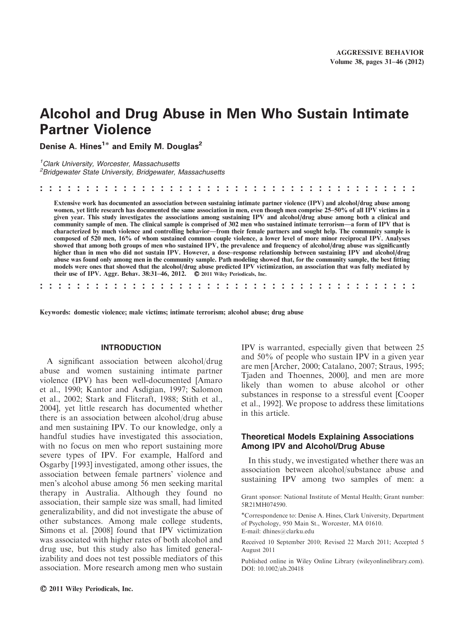# **Alcohol and Drug Abuse in Men Who Sustain Intimate Partner Violence**

**Denise A. Hines1**- **and Emily M. Douglas2**

1 Clark University, Worcester, Massachusetts <sup>2</sup>Bridgewater State University, Bridgewater, Massachusetts

Extensive work has documented an association between sustaining intimate partner violence (IPV) and alcohol/drug abuse among women, yet little research has documented the same association in men, even though men comprise 25–50% of all IPV victims in a given year. This study investigates the associations among sustaining IPV and alcohol/drug abuse among both a clinical and community sample of men. The clinical sample is comprised of 302 men who sustained intimate terrorism—a form of IPV that is characterized by much violence and controlling behavior—from their female partners and sought help. The community sample is composed of 520 men, 16% of whom sustained common couple violence, a lower level of more minor reciprocal IPV. Analyses showed that among both groups of men who sustained IPV, the prevalence and frequency of alcohol/drug abuse was significantly higher than in men who did not sustain IPV. However, a dose–response relationship between sustaining IPV and alcohol/drug abuse was found only among men in the community sample. Path modeling showed that, for the community sample, the best fitting models were ones that showed that the alcohol/drug abuse predicted IPV victimization, an association that was fully mediated by their use of IPV. Aggr. Behav. 38:31-46, 2012. © 2011 Wiley Periodicals, Inc.

:::::::::::::::::::::::::::::::::::::::::

Keywords: domestic violence; male victims; intimate terrorism; alcohol abuse; drug abuse

#### INTRODUCTION

A significant association between alcohol/drug abuse and women sustaining intimate partner violence (IPV) has been well-documented [Amaro et al., 1990; Kantor and Asdigian, 1997; Salomon et al., 2002; Stark and Flitcraft, 1988; Stith et al., 2004], yet little research has documented whether there is an association between alcohol/drug abuse and men sustaining IPV. To our knowledge, only a handful studies have investigated this association, with no focus on men who report sustaining more severe types of IPV. For example, Halford and Osgarby [1993] investigated, among other issues, the association between female partners' violence and men's alcohol abuse among 56 men seeking marital therapy in Australia. Although they found no association, their sample size was small, had limited generalizability, and did not investigate the abuse of other substances. Among male college students, Simons et al. [2008] found that IPV victimization was associated with higher rates of both alcohol and drug use, but this study also has limited generalizability and does not test possible mediators of this association. More research among men who sustain IPV is warranted, especially given that between 25 and 50% of people who sustain IPV in a given year are men [Archer, 2000; Catalano, 2007; Straus, 1995; Tjaden and Thoennes, 2000], and men are more likely than women to abuse alcohol or other substances in response to a stressful event [Cooper et al., 1992]. We propose to address these limitations in this article.

#### Theoretical Models Explaining Associations Among IPV and Alcohol/Drug Abuse

In this study, we investigated whether there was an association between alcohol/substance abuse and sustaining IPV among two samples of men: a

Grant sponsor: National Institute of Mental Health; Grant number: 5R21MH074590.

-Correspondence to: Denise A. Hines, Clark University, Department of Psychology, 950 Main St., Worcester, MA 01610.

E-mail: dhines@clarku.edu

Received 10 September 2010; Revised 22 March 2011; Accepted 5 August 2011

Published online in Wiley Online Library (wileyonlinelibrary.com). DOI: 10.1002/ab.20418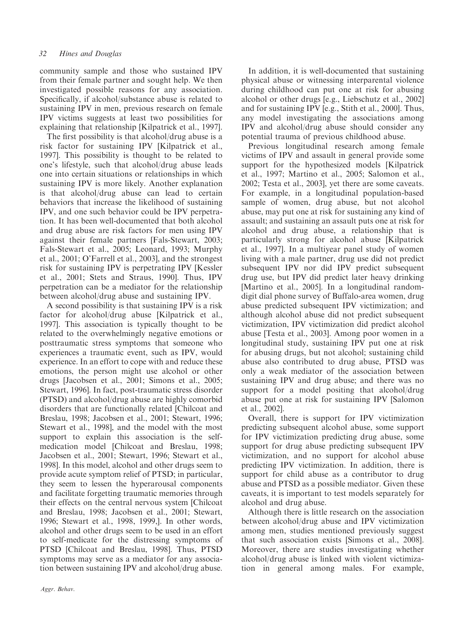community sample and those who sustained IPV from their female partner and sought help. We then investigated possible reasons for any association. Specifically, if alcohol/substance abuse is related to sustaining IPV in men, previous research on female IPV victims suggests at least two possibilities for explaining that relationship [Kilpatrick et al., 1997].

The first possibility is that alcohol/drug abuse is a risk factor for sustaining IPV [Kilpatrick et al., 1997]. This possibility is thought to be related to one's lifestyle, such that alcohol/drug abuse leads one into certain situations or relationships in which sustaining IPV is more likely. Another explanation is that alcohol/drug abuse can lead to certain behaviors that increase the likelihood of sustaining IPV, and one such behavior could be IPV perpetration. It has been well-documented that both alcohol and drug abuse are risk factors for men using IPV against their female partners [Fals-Stewart, 2003; Fals-Stewart et al., 2005; Leonard, 1993; Murphy et al., 2001; O'Farrell et al., 2003], and the strongest risk for sustaining IPV is perpetrating IPV [Kessler et al., 2001; Stets and Straus, 1990]. Thus, IPV perpetration can be a mediator for the relationship between alcohol/drug abuse and sustaining IPV.

A second possibility is that sustaining IPV is a risk factor for alcohol/drug abuse [Kilpatrick et al., 1997]. This association is typically thought to be related to the overwhelmingly negative emotions or posttraumatic stress symptoms that someone who experiences a traumatic event, such as IPV, would experience. In an effort to cope with and reduce these emotions, the person might use alcohol or other drugs [Jacobsen et al., 2001; Simons et al., 2005; Stewart, 1996]. In fact, post-traumatic stress disorder (PTSD) and alcohol/drug abuse are highly comorbid disorders that are functionally related [Chilcoat and Breslau, 1998; Jacobsen et al., 2001; Stewart, 1996; Stewart et al., 1998], and the model with the most support to explain this association is the selfmedication model [Chilcoat and Breslau, 1998; Jacobsen et al., 2001; Stewart, 1996; Stewart et al., 1998]. In this model, alcohol and other drugs seem to provide acute symptom relief of PTSD; in particular, they seem to lessen the hyperarousal components and facilitate forgetting traumatic memories through their effects on the central nervous system [Chilcoat and Breslau, 1998; Jacobsen et al., 2001; Stewart, 1996; Stewart et al., 1998, 1999,]. In other words, alcohol and other drugs seem to be used in an effort to self-medicate for the distressing symptoms of PTSD [Chilcoat and Breslau, 1998]. Thus, PTSD symptoms may serve as a mediator for any association between sustaining IPV and alcohol/drug abuse.

In addition, it is well-documented that sustaining physical abuse or witnessing interparental violence during childhood can put one at risk for abusing alcohol or other drugs [e.g., Liebschutz et al., 2002] and for sustaining IPV [e.g., Stith et al., 2000]. Thus, any model investigating the associations among IPV and alcohol/drug abuse should consider any potential trauma of previous childhood abuse.

Previous longitudinal research among female victims of IPV and assault in general provide some support for the hypothesized models [Kilpatrick et al., 1997; Martino et al., 2005; Salomon et al., 2002; Testa et al., 2003], yet there are some caveats. For example, in a longitudinal population-based sample of women, drug abuse, but not alcohol abuse, may put one at risk for sustaining any kind of assault; and sustaining an assault puts one at risk for alcohol and drug abuse, a relationship that is particularly strong for alcohol abuse [Kilpatrick et al., 1997]. In a multiyear panel study of women living with a male partner, drug use did not predict subsequent IPV nor did IPV predict subsequent drug use, but IPV did predict later heavy drinking [Martino et al., 2005]. In a longitudinal randomdigit dial phone survey of Buffalo-area women, drug abuse predicted subsequent IPV victimization; and although alcohol abuse did not predict subsequent victimization, IPV victimization did predict alcohol abuse [Testa et al., 2003]. Among poor women in a longitudinal study, sustaining IPV put one at risk for abusing drugs, but not alcohol; sustaining child abuse also contributed to drug abuse, PTSD was only a weak mediator of the association between sustaining IPV and drug abuse; and there was no support for a model positing that alcohol/drug abuse put one at risk for sustaining IPV [Salomon et al., 2002].

Overall, there is support for IPV victimization predicting subsequent alcohol abuse, some support for IPV victimization predicting drug abuse, some support for drug abuse predicting subsequent IPV victimization, and no support for alcohol abuse predicting IPV victimization. In addition, there is support for child abuse as a contributor to drug abuse and PTSD as a possible mediator. Given these caveats, it is important to test models separately for alcohol and drug abuse.

Although there is little research on the association between alcohol/drug abuse and IPV victimization among men, studies mentioned previously suggest that such association exists [Simons et al., 2008]. Moreover, there are studies investigating whether alcohol/drug abuse is linked with violent victimization in general among males. For example,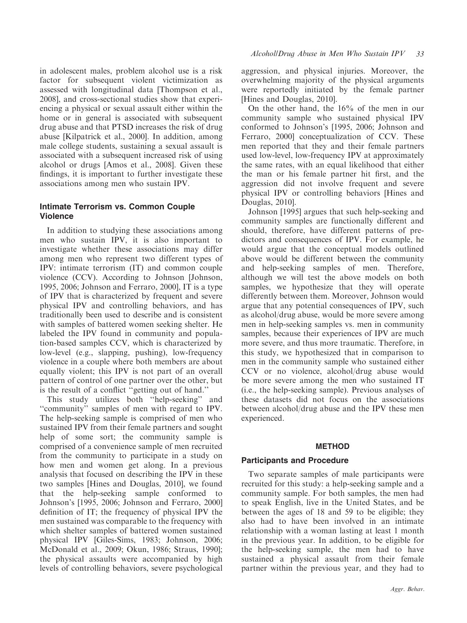in adolescent males, problem alcohol use is a risk factor for subsequent violent victimization as assessed with longitudinal data [Thompson et al., 2008], and cross-sectional studies show that experiencing a physical or sexual assault either within the home or in general is associated with subsequent drug abuse and that PTSD increases the risk of drug abuse [Kilpatrick et al., 2000]. In addition, among male college students, sustaining a sexual assault is associated with a subsequent increased risk of using alcohol or drugs [Amos et al., 2008]. Given these findings, it is important to further investigate these associations among men who sustain IPV.

# Intimate Terrorism vs. Common Couple Violence

In addition to studying these associations among men who sustain IPV, it is also important to investigate whether these associations may differ among men who represent two different types of IPV: intimate terrorism (IT) and common couple violence (CCV). According to Johnson [Johnson, 1995, 2006; Johnson and Ferraro, 2000], IT is a type of IPV that is characterized by frequent and severe physical IPV and controlling behaviors, and has traditionally been used to describe and is consistent with samples of battered women seeking shelter. He labeled the IPV found in community and population-based samples CCV, which is characterized by low-level (e.g., slapping, pushing), low-frequency violence in a couple where both members are about equally violent; this IPV is not part of an overall pattern of control of one partner over the other, but is the result of a conflict ''getting out of hand.''

This study utilizes both ''help-seeking'' and ''community'' samples of men with regard to IPV. The help-seeking sample is comprised of men who sustained IPV from their female partners and sought help of some sort; the community sample is comprised of a convenience sample of men recruited from the community to participate in a study on how men and women get along. In a previous analysis that focused on describing the IPV in these two samples [Hines and Douglas, 2010], we found that the help-seeking sample conformed to Johnson's [1995, 2006; Johnson and Ferraro, 2000] definition of IT; the frequency of physical IPV the men sustained was comparable to the frequency with which shelter samples of battered women sustained physical IPV [Giles-Sims, 1983; Johnson, 2006; McDonald et al., 2009; Okun, 1986; Straus, 1990]; the physical assaults were accompanied by high levels of controlling behaviors, severe psychological aggression, and physical injuries. Moreover, the overwhelming majority of the physical arguments were reportedly initiated by the female partner [Hines and Douglas, 2010].

On the other hand, the 16% of the men in our community sample who sustained physical IPV conformed to Johnson's [1995, 2006; Johnson and Ferraro, 2000] conceptualization of CCV. These men reported that they and their female partners used low-level, low-frequency IPV at approximately the same rates, with an equal likelihood that either the man or his female partner hit first, and the aggression did not involve frequent and severe physical IPV or controlling behaviors [Hines and Douglas, 2010].

Johnson [1995] argues that such help-seeking and community samples are functionally different and should, therefore, have different patterns of predictors and consequences of IPV. For example, he would argue that the conceptual models outlined above would be different between the community and help-seeking samples of men. Therefore, although we will test the above models on both samples, we hypothesize that they will operate differently between them. Moreover, Johnson would argue that any potential consequences of IPV, such as alcohol/drug abuse, would be more severe among men in help-seeking samples vs. men in community samples, because their experiences of IPV are much more severe, and thus more traumatic. Therefore, in this study, we hypothesized that in comparison to men in the community sample who sustained either CCV or no violence, alcohol/drug abuse would be more severe among the men who sustained IT (i.e., the help-seeking sample). Previous analyses of these datasets did not focus on the associations between alcohol/drug abuse and the IPV these men experienced.

# METHOD

# Participants and Procedure

Two separate samples of male participants were recruited for this study: a help-seeking sample and a community sample. For both samples, the men had to speak English, live in the United States, and be between the ages of 18 and 59 to be eligible; they also had to have been involved in an intimate relationship with a woman lasting at least 1 month in the previous year. In addition, to be eligible for the help-seeking sample, the men had to have sustained a physical assault from their female partner within the previous year, and they had to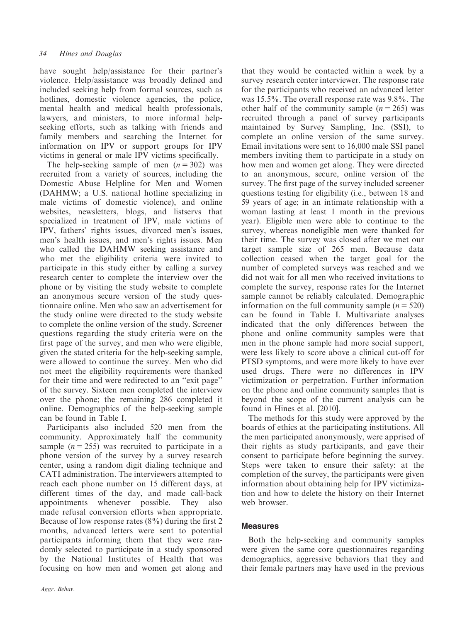have sought help/assistance for their partner's violence. Help/assistance was broadly defined and included seeking help from formal sources, such as hotlines, domestic violence agencies, the police, mental health and medical health professionals, lawyers, and ministers, to more informal helpseeking efforts, such as talking with friends and family members and searching the Internet for information on IPV or support groups for IPV victims in general or male IPV victims specifically.

The help-seeking sample of men  $(n = 302)$  was recruited from a variety of sources, including the Domestic Abuse Helpline for Men and Women (DAHMW; a U.S. national hotline specializing in male victims of domestic violence), and online websites, newsletters, blogs, and listservs that specialized in treatment of IPV, male victims of IPV, fathers' rights issues, divorced men's issues, men's health issues, and men's rights issues. Men who called the DAHMW seeking assistance and who met the eligibility criteria were invited to participate in this study either by calling a survey research center to complete the interview over the phone or by visiting the study website to complete an anonymous secure version of the study questionnaire online. Men who saw an advertisement for the study online were directed to the study website to complete the online version of the study. Screener questions regarding the study criteria were on the first page of the survey, and men who were eligible, given the stated criteria for the help-seeking sample, were allowed to continue the survey. Men who did not meet the eligibility requirements were thanked for their time and were redirected to an ''exit page'' of the survey. Sixteen men completed the interview over the phone; the remaining 286 completed it online. Demographics of the help-seeking sample can be found in Table I.

Participants also included 520 men from the community. Approximately half the community sample  $(n = 255)$  was recruited to participate in a phone version of the survey by a survey research center, using a random digit dialing technique and CATI administration. The interviewers attempted to reach each phone number on 15 different days, at different times of the day, and made call-back appointments whenever possible. They also made refusal conversion efforts when appropriate. Because of low response rates (8%) during the first 2 months, advanced letters were sent to potential participants informing them that they were randomly selected to participate in a study sponsored by the National Institutes of Health that was focusing on how men and women get along and

Aggr. Behav.

that they would be contacted within a week by a survey research center interviewer. The response rate for the participants who received an advanced letter was 15.5%. The overall response rate was 9.8%. The other half of the community sample  $(n = 265)$  was recruited through a panel of survey participants maintained by Survey Sampling, Inc. (SSI), to complete an online version of the same survey. Email invitations were sent to 16,000 male SSI panel members inviting them to participate in a study on how men and women get along. They were directed to an anonymous, secure, online version of the survey. The first page of the survey included screener questions testing for eligibility (i.e., between 18 and 59 years of age; in an intimate relationship with a woman lasting at least 1 month in the previous year). Eligible men were able to continue to the survey, whereas noneligible men were thanked for their time. The survey was closed after we met our target sample size of 265 men. Because data collection ceased when the target goal for the number of completed surveys was reached and we did not wait for all men who received invitations to complete the survey, response rates for the Internet sample cannot be reliably calculated. Demographic information on the full community sample  $(n = 520)$ can be found in Table I. Multivariate analyses indicated that the only differences between the phone and online community samples were that men in the phone sample had more social support, were less likely to score above a clinical cut-off for PTSD symptoms, and were more likely to have ever used drugs. There were no differences in IPV victimization or perpetration. Further information on the phone and online community samples that is beyond the scope of the current analysis can be found in Hines et al. [2010].

The methods for this study were approved by the boards of ethics at the participating institutions. All the men participated anonymously, were apprised of their rights as study participants, and gave their consent to participate before beginning the survey. Steps were taken to ensure their safety: at the completion of the survey, the participants were given information about obtaining help for IPV victimization and how to delete the history on their Internet web browser.

# Measures

Both the help-seeking and community samples were given the same core questionnaires regarding demographics, aggressive behaviors that they and their female partners may have used in the previous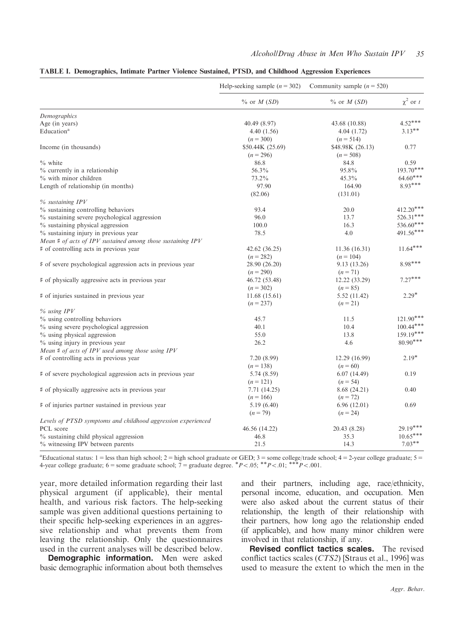|                                                              | Help-seeking sample $(n = 302)$ | Community sample $(n = 520)$ |               |
|--------------------------------------------------------------|---------------------------------|------------------------------|---------------|
|                                                              | $\%$ or M (SD)                  | $\%$ or M (SD)               | $\chi^2$ or t |
| Demographics                                                 |                                 |                              |               |
| Age (in years)                                               | 40.49 (8.97)                    | 43.68 (10.88)                | $4.52***$     |
| Education <sup>a</sup>                                       | 4.40 (1.56)                     | 4.04(1.72)                   | $3.13***$     |
|                                                              | $(n = 300)$                     | $(n = 514)$                  |               |
| Income (in thousands)                                        | \$50.44K (25.69)                | \$48.98K (26.13)             | 0.77          |
|                                                              | $(n = 296)$                     | $(n = 508)$                  |               |
| % white                                                      | 86.8                            | 84.8                         | 0.59          |
| % currently in a relationship                                | 56.3%                           | 95.8%                        | $193.70***$   |
| % with minor children                                        | 73.2%                           | 45.3%                        | $64.60***$    |
| Length of relationship (in months)                           | 97.90                           | 164.90                       | 8.93***       |
|                                                              | (82.06)                         | (131.01)                     |               |
| $\%$ sustaining IPV                                          |                                 |                              |               |
| % sustaining controlling behaviors                           | 93.4                            | 20.0                         | $412.20***$   |
| % sustaining severe psychological aggression                 | 96.0                            | 13.7                         | $526.31***$   |
| % sustaining physical aggression                             | 100.0                           | 16.3                         | 536.60***     |
| % sustaining injury in previous year                         | 78.5                            | 4.0                          | 491.56***     |
| Mean $#$ of acts of IPV sustained among those sustaining IPV |                                 |                              |               |
|                                                              | 42.62 (36.25)                   |                              | $11.64***$    |
| # of controlling acts in previous year                       | $(n = 282)$                     | 11.36(16.31)<br>$(n = 104)$  |               |
|                                                              |                                 |                              | $8.98***$     |
| # of severe psychological aggression acts in previous year   | 28.90 (26.20)                   | 9.13 (13.26)                 |               |
|                                                              | $(n = 290)$                     | $(n = 71)$                   | $7.27***$     |
| # of physically aggressive acts in previous year             | 46.72 (53.48)                   | 12.22 (33.29)                |               |
|                                                              | $(n = 302)$                     | $(n = 85)$                   |               |
| # of injuries sustained in previous year                     | 11.68(15.61)                    | 5.52(11.42)                  | $2.29*$       |
|                                                              | $(n = 237)$                     | $(n=21)$                     |               |
| $\%$ using IPV                                               |                                 |                              |               |
| % using controlling behaviors                                | 45.7                            | 11.5                         | $121.90***$   |
| % using severe psychological aggression                      | 40.1                            | 10.4                         | $100.44***$   |
| % using physical aggression                                  | 55.0                            | 13.8                         | $159.19***$   |
| % using injury in previous year                              | 26.2                            | 4.6                          | $80.90***$    |
| Mean # of acts of IPV used among those using IPV             |                                 |                              |               |
| # of controlling acts in previous year                       | 7.20 (8.99)                     | 12.29 (16.99)                | $2.19*$       |
|                                                              | $(n = 138)$                     | $(n = 60)$                   |               |
| # of severe psychological aggression acts in previous year   | 5.74 (8.59)                     | 6.07(14.49)                  | 0.19          |
|                                                              | $(n = 121)$                     | $(n = 54)$                   |               |
| # of physically aggressive acts in previous year             | 7.71 (14.25)                    | 8.68 (24.21)                 | 0.40          |
|                                                              | $(n = 166)$                     | $(n = 72)$                   |               |
| # of injuries partner sustained in previous year             | 5.19(6.40)                      | 6.96(12.01)                  | 0.69          |
|                                                              | $(n = 79)$                      | $(n = 24)$                   |               |
| Levels of PTSD symptoms and childhood aggression experienced |                                 |                              |               |
| PCL score                                                    | 46.56 (14.22)                   | 20.43 (8.28)                 | $29.19***$    |
| % sustaining child physical aggression                       | 46.8                            | 35.3                         | $10.65***$    |
| % witnessing IPV between parents                             | 21.5                            | 14.3                         | $7.03**$      |

#### TABLE I. Demographics, Intimate Partner Violence Sustained, PTSD, and Childhood Aggression Experiences

<sup>a</sup> Educational status: 1 = less than high school; 2 = high school graduate or GED; 3 = some college/trade school; 4 = 2-year college graduate; 5 = 4-year college graduate;  $6 =$ some graduate school;  $7 =$  graduate degree.  $*P < .05$ ;  $**P < .01$ ;  $***P < .001$ .

year, more detailed information regarding their last physical argument (if applicable), their mental health, and various risk factors. The help-seeking sample was given additional questions pertaining to their specific help-seeking experiences in an aggressive relationship and what prevents them from leaving the relationship. Only the questionnaires used in the current analyses will be described below.

Demographic information. Men were asked basic demographic information about both themselves and their partners, including age, race/ethnicity, personal income, education, and occupation. Men were also asked about the current status of their relationship, the length of their relationship with their partners, how long ago the relationship ended (if applicable), and how many minor children were involved in that relationship, if any.

Revised conflict tactics scales. The revised conflict tactics scales (CTS2) [Straus et al., 1996] was used to measure the extent to which the men in the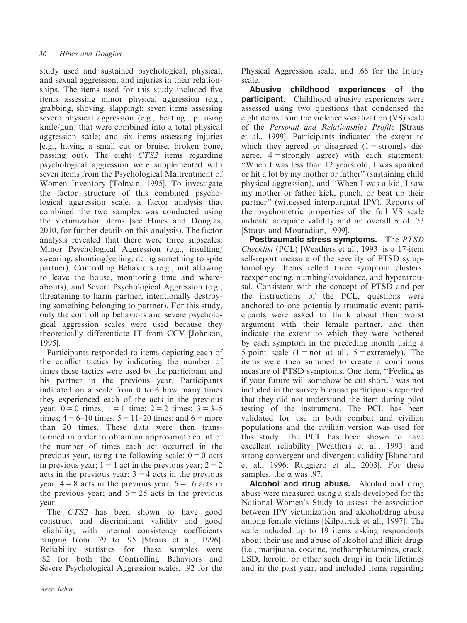study used and sustained psychological, physical, and sexual aggression, and injuries in their relationships. The items used for this study included five items assessing minor physical aggression (e.g., grabbing, shoving, slapping); seven items assessing severe physical aggression (e.g., beating up, using knife/gun) that were combined into a total physical aggression scale; and six items assessing injuries [e.g., having a small cut or bruise, broken bone, passing out). The eight CTS2 items regarding psychological aggression were supplemented with seven items from the Psychological Maltreatment of Women Inventory [Tolman, 1995]. To investigate the factor structure of this combined psychological aggression scale, a factor analysis that combined the two samples was conducted using the victimization items [see Hines and Douglas, 2010, for further details on this analysis). The factor analysis revealed that there were three subscales: Minor Psychological Aggression (e.g., insulting/ swearing, shouting/yelling, doing something to spite partner), Controlling Behaviors (e.g., not allowing to leave the house, monitoring time and whereabouts), and Severe Psychological Aggression (e.g., threatening to harm partner, intentionally destroying something belonging to partner). For this study, only the controlling behaviors and severe psychological aggression scales were used because they theoretically differentiate IT from CCV [Johnson, 1995].

Participants responded to items depicting each of the conflict tactics by indicating the number of times these tactics were used by the participant and his partner in the previous year. Participants indicated on a scale from 0 to 6 how many times they experienced each of the acts in the previous year,  $0 = 0$  times;  $1 = 1$  time;  $2 = 2$  times;  $3 = 3-5$ times;  $4 = 6{\text -}10$  times;  $5 = 11{\text -}20$  times; and  $6 =$  more than 20 times. These data were then transformed in order to obtain an approximate count of the number of times each act occurred in the previous year, using the following scale:  $0 = 0$  acts in previous year;  $1 = 1$  act in the previous year;  $2 = 2$ acts in the previous year;  $3 = 4$  acts in the previous year;  $4 = 8$  acts in the previous year;  $5 = 16$  acts in the previous year; and  $6 = 25$  acts in the previous year.

The CTS2 has been shown to have good construct and discriminant validity and good reliability, with internal consistency coefficients ranging from .79 to .95 [Straus et al., 1996]. Reliability statistics for these samples were .82 for both the Controlling Behaviors and Severe Psychological Aggression scales, .92 for the

Physical Aggression scale, and .68 for the Injury scale.

Abusive childhood experiences of the participant. Childhood abusive experiences were assessed using two questions that condensed the eight items from the violence socialization (VS) scale of the Personal and Relationships Profile [Straus et al., 1999]. Participants indicated the extent to which they agreed or disagreed  $(1 =$  strongly disagree,  $4 =$ strongly agree) with each statement: ''When I was less than 12 years old, I was spanked or hit a lot by my mother or father'' (sustaining child physical aggression), and ''When I was a kid, I saw my mother or father kick, punch, or beat up their partner'' (witnessed interparental IPV). Reports of the psychometric properties of the full VS scale indicate adequate validity and an overall  $\alpha$  of .73 [Straus and Mouradian, 1999].

Posttraumatic stress symptoms. The PTSD Checklist (PCL) [Weathers et al., 1993] is a 17-item self-report measure of the severity of PTSD symptomology. Items reflect three symptom clusters: reexperiencing, numbing/avoidance, and hyperarousal. Consistent with the concept of PTSD and per the instructions of the PCL, questions were anchored to one potentially traumatic event: participants were asked to think about their worst argument with their female partner, and then indicate the extent to which they were bothered by each symptom in the preceding month using a 5-point scale  $(1 = not at all, 5 = extremely)$ . The items were then summed to create a continuous measure of PTSD symptoms. One item, ''Feeling as if your future will somehow be cut short,'' was not included in the survey because participants reported that they did not understand the item during pilot testing of the instrument. The PCL has been validated for use in both combat and civilian populations and the civilian version was used for this study. The PCL has been shown to have excellent reliability [Weathers et al., 1993] and strong convergent and divergent validity [Blanchard et al., 1996; Ruggiero et al., 2003]. For these samples, the  $\alpha$  was .97.

Alcohol and drug abuse. Alcohol and drug abuse were measured using a scale developed for the National Women's Study to assess the association between IPV victimization and alcohol/drug abuse among female victims [Kilpatrick et al., 1997]. The scale included up to 19 items asking respondents about their use and abuse of alcohol and illicit drugs (i.e., marijuana, cocaine, methamphetamines, crack, LSD, heroin, or other such drug) in their lifetimes and in the past year, and included items regarding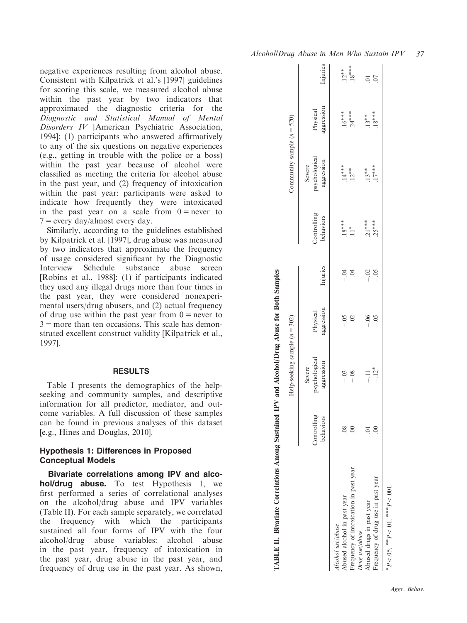negative experiences resulting from alcohol abuse. Consistent with Kilpatrick et al.'s [1997] guidelines for scoring this scale, we measured alcohol abuse within the past year by two indicators that approximated the diagnostic criteria for the Diagnostic and Statistical Manual of Mental Disorders IV [American Psychiatric Association, 1994]: (1) participants who answered affirmatively to any of the six questions on negative experiences (e.g., getting in trouble with the police or a boss) within the past year because of alcohol were classified as meeting the criteria for alcohol abuse in the past year, and (2) frequency of intoxication within the past year: participants were asked to indicate how frequently they were intoxicated in the past year on a scale from  $0 =$  never to  $7 =$  every day/almost every day.

Similarly, according to the guidelines established by Kilpatrick et al. [1997], drug abuse was measured by two indicators that approximate the frequency of usage considered significant by the Diagnostic Interview Schedule substance abuse screen [Robins et al., 1988]: (1) if participants indicated they used any illegal drugs more than four times in the past year, they were considered nonexperimental users/drug abusers, and (2) actual frequency of drug use within the past year from  $0 =$  never to  $3 =$  more than ten occasions. This scale has demonstrated excellent construct validity [Kilpatrick et al., 1997].

#### **RESULTS**

Table I presents the demographics of the helpseeking and community samples, and descriptive information for all predictor, mediator, and outcome variables. A full discussion of these samples can be found in previous analyses of this dataset [e.g., Hines and Douglas, 2010].

### Hypothesis 1: Differences in Proposed Conceptual Models

Bivariate correlations among IPV and alcohol/drug abuse. To test Hypothesis 1, we first performed a series of correlational analyses on the alcohol/drug abuse and IPV variables (Table II). For each sample separately, we correlated the frequency with which the participants sustained all four forms of IPV with the four alcohol/drug abuse variables: alcohol abuse in the past year, frequency of intoxication in the past year, drug abuse in the past year, and frequency of drug use in the past year. As shown,

| <b>TABLE II. Bivariate Correlations Among Sustained</b>  |                          | IPV and Alcohol/Drug Abuse for Both Samples |                            |          |                          |                                       |                        |                |
|----------------------------------------------------------|--------------------------|---------------------------------------------|----------------------------|----------|--------------------------|---------------------------------------|------------------------|----------------|
|                                                          |                          | Help-seeking sample $(n = 302)$             |                            |          |                          | Community sample $(n = 520)$          |                        |                |
|                                                          | Controlling<br>behaviors | psychological<br>aggression<br>Severe       | aggression<br>Physical     | Injuries | Controlling<br>behaviors | psychological<br>aggression<br>Severe | aggression<br>Physical | Injuries       |
| Alcohol use/abuse                                        |                          |                                             |                            |          |                          |                                       |                        |                |
| Abused alcohol in past year                              | $\frac{8}{2}$            | $-0.03$<br>$-0.08$                          | $-0.5$                     | $-0.4$   | $.18***$                 | $.14***$                              | $16***$                | $.12***$       |
| Frequency of intoxication in past year<br>Drug use/abuse | $_{\rm \odot}$           |                                             | $\widetilde{\mathfrak{S}}$ |          | $1^*$                    | $12***$                               | $.24***$               | $.18***$       |
| Abused drugs in past year                                |                          | $\overline{-}$                              | $-0.06$                    | $-.02$   | $.21***$                 | $13**$                                | $13***$                | $\overline{a}$ |
| Frequency of drug use in past year                       |                          | $-.12*$                                     | $-0.5$                     | $-0.5$   | $.25***$                 | $17***$                               | $.18***$               | $\overline{0}$ |
| * $P < 0.05$ , ** $P < 0.1$ , *** $P < 0.01$ .           |                          |                                             |                            |          |                          |                                       |                        |                |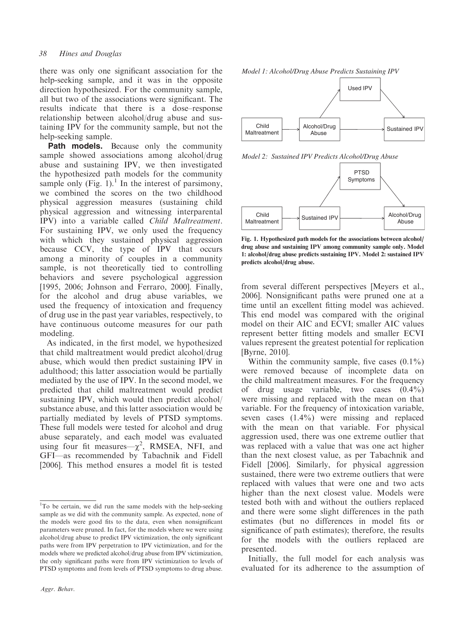there was only one significant association for the help-seeking sample, and it was in the opposite direction hypothesized. For the community sample, all but two of the associations were significant. The results indicate that there is a dose–response relationship between alcohol/drug abuse and sustaining IPV for the community sample, but not the help-seeking sample.

Path models. Because only the community sample showed associations among alcohol/drug abuse and sustaining IPV, we then investigated the hypothesized path models for the community sample only  $(Fig. 1)$ .<sup>1</sup> In the interest of parsimony, we combined the scores on the two childhood physical aggression measures (sustaining child physical aggression and witnessing interparental IPV) into a variable called Child Maltreatment. For sustaining IPV, we only used the frequency with which they sustained physical aggression because CCV, the type of IPV that occurs among a minority of couples in a community sample, is not theoretically tied to controlling behaviors and severe psychological aggression [1995, 2006; Johnson and Ferraro, 2000]. Finally, for the alcohol and drug abuse variables, we used the frequency of intoxication and frequency of drug use in the past year variables, respectively, to have continuous outcome measures for our path modeling.

As indicated, in the first model, we hypothesized that child maltreatment would predict alcohol/drug abuse, which would then predict sustaining IPV in adulthood; this latter association would be partially mediated by the use of IPV. In the second model, we predicted that child maltreatment would predict sustaining IPV, which would then predict alcohol/ substance abuse, and this latter association would be partially mediated by levels of PTSD symptoms. These full models were tested for alcohol and drug abuse separately, and each model was evaluated using four fit measures— $\chi^2$ , RMSEA, NFI, and GFI—as recommended by Tabachnik and Fidell [2006]. This method ensures a model fit is tested





*Model 2: Sustained IPV Predicts Alcohol/Drug Abuse* 



Fig. 1. Hypothesized path models for the associations between alcohol/ drug abuse and sustaining IPV among community sample only. Model 1: alcohol/drug abuse predicts sustaining IPV. Model 2: sustained IPV predicts alcohol/drug abuse.

from several different perspectives [Meyers et al., 2006]. Nonsignificant paths were pruned one at a time until an excellent fitting model was achieved. This end model was compared with the original model on their AIC and ECVI; smaller AIC values represent better fitting models and smaller ECVI values represent the greatest potential for replication [Byrne, 2010].

Within the community sample, five cases  $(0.1\%)$ were removed because of incomplete data on the child maltreatment measures. For the frequency of drug usage variable, two cases (0.4%) were missing and replaced with the mean on that variable. For the frequency of intoxication variable, seven cases (1.4%) were missing and replaced with the mean on that variable. For physical aggression used, there was one extreme outlier that was replaced with a value that was one act higher than the next closest value, as per Tabachnik and Fidell [2006]. Similarly, for physical aggression sustained, there were two extreme outliers that were replaced with values that were one and two acts higher than the next closest value. Models were tested both with and without the outliers replaced and there were some slight differences in the path estimates (but no differences in model fits or significance of path estimates); therefore, the results for the models with the outliers replaced are presented.

Initially, the full model for each analysis was evaluated for its adherence to the assumption of

<sup>&</sup>lt;sup>1</sup>To be certain, we did run the same models with the help-seeking sample as we did with the community sample. As expected, none of the models were good fits to the data, even when nonsignificant parameters were pruned. In fact, for the models where we were using alcohol/drug abuse to predict IPV victimization, the only significant paths were from IPV perpetration to IPV victimization, and for the models where we predicted alcohol/drug abuse from IPV victimization, the only significant paths were from IPV victimization to levels of PTSD symptoms and from levels of PTSD symptoms to drug abuse.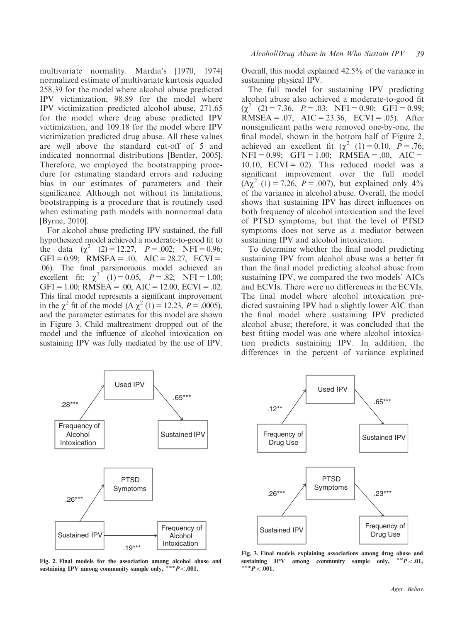multivariate normality. Mardia's [1970, 1974] normalized estimate of multivariate kurtosis equaled 258.39 for the model where alcohol abuse predicted IPV victimization, 98.89 for the model where IPV victimization predicted alcohol abuse, 271.65 for the model where drug abuse predicted IPV victimization, and 109.18 for the model where IPV victimization predicted drug abuse. All these values are well above the standard cut-off of 5 and indicated nonnormal distributions [Bentler, 2005]. Therefore, we employed the bootstrapping procedure for estimating standard errors and reducing bias in our estimates of parameters and their significance. Although not without its limitations, bootstrapping is a procedure that is routinely used when estimating path models with nonnormal data [Byrne, 2010].

For alcohol abuse predicting IPV sustained, the full hypothesized model achieved a moderate-to-good fit to the data  $(\chi^2 \quad (2) = 12.27, \quad P = .002; \quad \text{NFI} = 0.96;$  $GFI = 0.99$ ; RMSEA = .10, AIC = 28.27, ECVI = .06). The final parsimonious model achieved an excellent fit:  $\chi^2$  (1) = 0.05, P = .82; NFI = 1.00;  $GFI = 1.00$ ; RMSEA = .00, AIC = 12.00, ECVI = .02. This final model represents a significant improvement in the  $\chi^2$  fit of the model ( $\Delta \chi^2$  (1) = 12.23, P = .0005), and the parameter estimates for this model are shown in Figure 3. Child maltreatment dropped out of the model and the influence of alcohol intoxication on sustaining IPV was fully mediated by the use of IPV. Overall, this model explained 42.5% of the variance in sustaining physical IPV.

The full model for sustaining IPV predicting alcohol abuse also achieved a moderate-to-good fit  $(\chi^2 \quad (2) = 7.36, \quad P = .03; \quad NFI = 0.90; \quad GFI = 0.99;$ RMSEA = .07,  $AIC = 23.36$ ,  $ECVI = .05$ ). After nonsignificant paths were removed one-by-one, the final model, shown in the bottom half of Figure 2, achieved an excellent fit  $(\chi^2 \ (1) = 0.10, P = .76;$  $NFI = 0.99;$  GFI = 1.00; RMSEA = .00, AIC = 10.10,  $ECVI = .02$ ). This reduced model was a significant improvement over the full model  $(\Delta \chi^2)$  (1) = 7.26, P = .007), but explained only 4% of the variance in alcohol abuse. Overall, the model shows that sustaining IPV has direct influences on both frequency of alcohol intoxication and the level of PTSD symptoms, but that the level of PTSD symptoms does not serve as a mediator between sustaining IPV and alcohol intoxication.

To determine whether the final model predicting sustaining IPV from alcohol abuse was a better fit than the final model predicting alcohol abuse from sustaining IPV, we compared the two models' AICs and ECVIs. There were no differences in the ECVIs. The final model where alcohol intoxication predicted sustaining IPV had a slightly lower AIC than the final model where sustaining IPV predicted alcohol abuse; therefore, it was concluded that the best fitting model was one where alcohol intoxication predicts sustaining IPV. In addition, the differences in the percent of variance explained



Fig. 2. Final models for the association among alcohol abuse and sustaining IPV among community sample only,  $**P < .001$ .



Fig. 3. Final models explaining associations among drug abuse and sustaining IPV among community sample only,  $*P < .01$ ,  $*P < .01$  $*$  $P < 01$  $***P<.001$ .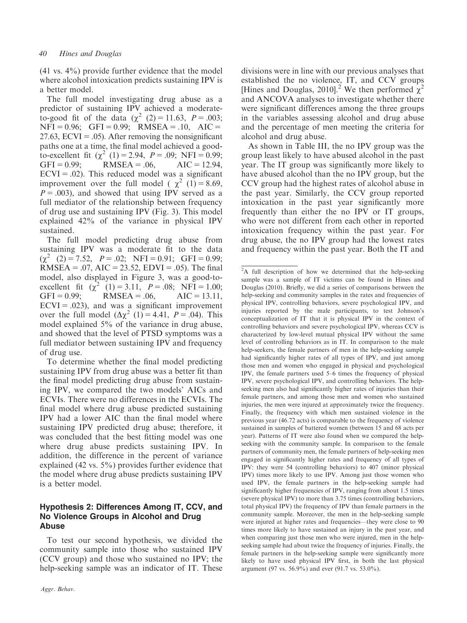(41 vs. 4%) provide further evidence that the model where alcohol intoxication predicts sustaining IPV is a better model.

The full model investigating drug abuse as a predictor of sustaining IPV achieved a moderateto-good fit of the data ( $\chi^2$  (2) = 11.63, P = .003;  $NFI = 0.96$ ;  $GFI = 0.99$ ;  $RMSEA = .10$ ,  $AIC =$ 27.63, ECVI = .05). After removing the nonsignificant paths one at a time, the final model achieved a goodto-excellent fit  $(\chi^2 (1) = 2.94, P = .09; NFI = 0.99;$ GFI =  $0.99$ ; RMSEA =  $.06$ , AIC = 12.94,  $ECVI = .02$ ). This reduced model was a significant improvement over the full model ( $\chi^2$  (1) = 8.69,  $P = .003$ ), and showed that using IPV served as a full mediator of the relationship between frequency of drug use and sustaining IPV (Fig. 3). This model explained 42% of the variance in physical IPV sustained.

The full model predicting drug abuse from sustaining IPV was a moderate fit to the data  $(\chi^2 \quad (2) = 7.52, \quad P = .02; \quad NFI = 0.91; \quad GFI = 0.99;$ RMSEA = .07, AIC = 23.52, EDVI = .05). The final model, also displayed in Figure 3, was a good-toexcellent fit  $(\chi^2 \ (1) = 3.11, P = .08; NFI = 1.00;$ GFI =  $0.99$ ; RMSEA =  $.06$ , AIC = 13.11,  $ECVI = .023$ ), and was a significant improvement over the full model  $(\Delta \chi^2 (1) = 4.41, P = .04)$ . This model explained 5% of the variance in drug abuse, and showed that the level of PTSD symptoms was a full mediator between sustaining IPV and frequency of drug use.

To determine whether the final model predicting sustaining IPV from drug abuse was a better fit than the final model predicting drug abuse from sustaining IPV, we compared the two models' AICs and ECVIs. There were no differences in the ECVIs. The final model where drug abuse predicted sustaining IPV had a lower AIC than the final model where sustaining IPV predicted drug abuse; therefore, it was concluded that the best fitting model was one where drug abuse predicts sustaining IPV. In addition, the difference in the percent of variance explained (42 vs.  $5\%$ ) provides further evidence that the model where drug abuse predicts sustaining IPV is a better model.

# Hypothesis 2: Differences Among IT, CCV, and No Violence Groups in Alcohol and Drug Abuse

To test our second hypothesis, we divided the community sample into those who sustained IPV (CCV group) and those who sustained no IPV; the help-seeking sample was an indicator of IT. These divisions were in line with our previous analyses that established the no violence, IT, and CCV groups [Hines and Douglas, 2010].<sup>2</sup> We then performed  $\chi^2$ and ANCOVA analyses to investigate whether there were significant differences among the three groups in the variables assessing alcohol and drug abuse and the percentage of men meeting the criteria for alcohol and drug abuse.

As shown in Table III, the no IPV group was the group least likely to have abused alcohol in the past year. The IT group was significantly more likely to have abused alcohol than the no IPV group, but the CCV group had the highest rates of alcohol abuse in the past year. Similarly, the CCV group reported intoxication in the past year significantly more frequently than either the no IPV or IT groups, who were not different from each other in reported intoxication frequency within the past year. For drug abuse, the no IPV group had the lowest rates and frequency within the past year. Both the IT and

 ${}^{2}$ A full description of how we determined that the help-seeking sample was a sample of IT victims can be found in Hines and Douglas (2010). Briefly, we did a series of comparisons between the help-seeking and community samples in the rates and frequencies of physical IPV, controlling behaviors, severe psychological IPV, and injuries reported by the male participants, to test Johnson's conceptualization of IT that it is physical IPV in the context of controlling behaviors and severe psychological IPV, whereas CCV is characterized by low-level mutual physical IPV without the same level of controlling behaviors as in IT. In comparison to the male help-seekers, the female partners of men in the help-seeking sample had significantly higher rates of all types of IPV, and just among those men and women who engaged in physical and psychological IPV, the female partners used 5–6 times the frequency of physical IPV, severe psychological IPV, and controlling behaviors. The helpseeking men also had significantly higher rates of injuries than their female partners, and among those men and women who sustained injuries, the men were injured at approximately twice the frequency. Finally, the frequency with which men sustained violence in the previous year (46.72 acts) is comparable to the frequency of violence sustained in samples of battered women (between 15 and 68 acts per year). Patterns of IT were also found when we compared the helpseeking with the community sample. In comparison to the female partners of community men, the female partners of help-seeking men engaged in significantly higher rates and frequency of all types of IPV: they were 54 (controlling behaviors) to 407 (minor physical IPV) times more likely to use IPV. Among just those women who used IPV, the female partners in the help-seeking sample had significantly higher frequencies of IPV, ranging from about 1.5 times (severe physical IPV) to more than 3.75 times (controlling behaviors, total physical IPV) the frequency of IPV than female partners in the community sample. Moreover, the men in the help-seeking sample were injured at higher rates and frequencies—they were close to 90 times more likely to have sustained an injury in the past year, and when comparing just those men who were injured, men in the helpseeking sample had about twice the frequency of injuries. Finally, the female partners in the help-seeking sample were significantly more likely to have used physical IPV first, in both the last physical argument (97 vs. 56.9%) and ever (91.7 vs. 53.0%).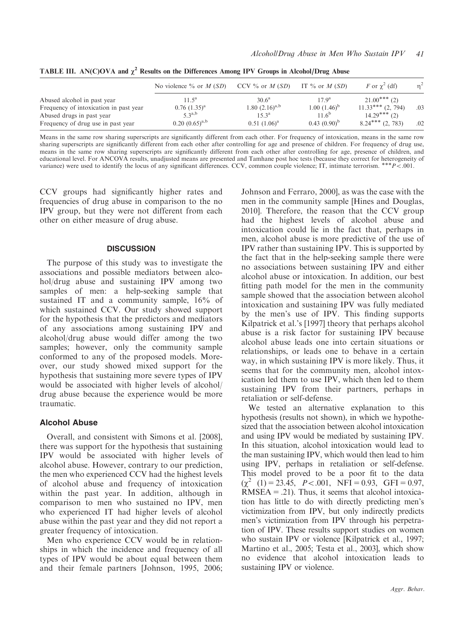|                                                                                                    | No violence $\%$ or M (SD)                           | CCV $\%$ or M (SD)                                      | IT $\%$ or M (SD)                                  | F or $\gamma^2$ (df)                                    | $n^2$ |
|----------------------------------------------------------------------------------------------------|------------------------------------------------------|---------------------------------------------------------|----------------------------------------------------|---------------------------------------------------------|-------|
| Abused alcohol in past year<br>Frequency of intoxication in past year<br>Abused drugs in past year | $11.5^{\rm a}$<br>$0.76$ $(1.35)^{a}$<br>$5.3^{a,b}$ | $30.6^{\rm a}$<br>1.80 $(2.16)^{a,b}$<br>$15.3^{\rm a}$ | 17.9 <sup>a</sup><br>1.00 $(1.46)^b$<br>$11.6^{b}$ | $21.00***$ (2)<br>$11.33***$ (2, 794)<br>$14.29***$ (2) | .03   |
| Frequency of drug use in past year                                                                 | $0.20 (0.65)^{a,b}$                                  | $0.51(1.06)^a$                                          | $(0.43 (0.90)^b)$                                  | $8.24***$ (2, 783)                                      | .02   |

TABLE III. AN(C)OVA and  $\gamma^2$  Results on the Differences Among IPV Groups in Alcohol/Drug Abuse

Means in the same row sharing superscripts are significantly different from each other. For frequency of intoxication, means in the same row sharing superscripts are significantly different from each other after controlling for age and presence of children. For frequency of drug use, means in the same row sharing superscripts are significantly different from each other after controlling for age, presence of children, and educational level. For ANCOVA results, unadjusted means are presented and Tamhane post hoc tests (because they correct for heterogeneity of a property of a property of a property of a property of a property of a property o variance) were used to identify the locus of any significant differences. CCV, common couple violence; IT, intimate terrorism.  $\dot{\phantom{a}}$  $*P < .001$ .

CCV groups had significantly higher rates and frequencies of drug abuse in comparison to the no IPV group, but they were not different from each other on either measure of drug abuse.

#### **DISCUSSION**

The purpose of this study was to investigate the associations and possible mediators between alcohol/drug abuse and sustaining IPV among two samples of men: a help-seeking sample that sustained IT and a community sample, 16% of which sustained CCV. Our study showed support for the hypothesis that the predictors and mediators of any associations among sustaining IPV and alcohol/drug abuse would differ among the two samples; however, only the community sample conformed to any of the proposed models. Moreover, our study showed mixed support for the hypothesis that sustaining more severe types of IPV would be associated with higher levels of alcohol/ drug abuse because the experience would be more traumatic.

# Alcohol Abuse

Overall, and consistent with Simons et al. [2008], there was support for the hypothesis that sustaining IPV would be associated with higher levels of alcohol abuse. However, contrary to our prediction, the men who experienced CCV had the highest levels of alcohol abuse and frequency of intoxication within the past year. In addition, although in comparison to men who sustained no IPV, men who experienced IT had higher levels of alcohol abuse within the past year and they did not report a greater frequency of intoxication.

Men who experience CCV would be in relationships in which the incidence and frequency of all types of IPV would be about equal between them and their female partners [Johnson, 1995, 2006; Johnson and Ferraro, 2000], as was the case with the men in the community sample [Hines and Douglas, 2010]. Therefore, the reason that the CCV group had the highest levels of alcohol abuse and intoxication could lie in the fact that, perhaps in men, alcohol abuse is more predictive of the use of IPV rather than sustaining IPV. This is supported by the fact that in the help-seeking sample there were no associations between sustaining IPV and either alcohol abuse or intoxication. In addition, our best fitting path model for the men in the community sample showed that the association between alcohol intoxication and sustaining IPV was fully mediated by the men's use of IPV. This finding supports Kilpatrick et al.'s [1997] theory that perhaps alcohol abuse is a risk factor for sustaining IPV because alcohol abuse leads one into certain situations or relationships, or leads one to behave in a certain way, in which sustaining IPV is more likely. Thus, it seems that for the community men, alcohol intoxication led them to use IPV, which then led to them sustaining IPV from their partners, perhaps in retaliation or self-defense.

We tested an alternative explanation to this hypothesis (results not shown), in which we hypothesized that the association between alcohol intoxication and using IPV would be mediated by sustaining IPV. In this situation, alcohol intoxication would lead to the man sustaining IPV, which would then lead to him using IPV, perhaps in retaliation or self-defense. This model proved to be a poor fit to the data  $(\chi^2 \t(1) = 23.45, P < .001, NFI = 0.93, GFI = 0.97,$  $RMSEA = .21$ ). Thus, it seems that alcohol intoxication has little to do with directly predicting men's victimization from IPV, but only indirectly predicts men's victimization from IPV through his perpetration of IPV. These results support studies on women who sustain IPV or violence [Kilpatrick et al., 1997; Martino et al., 2005; Testa et al., 2003], which show no evidence that alcohol intoxication leads to sustaining IPV or violence.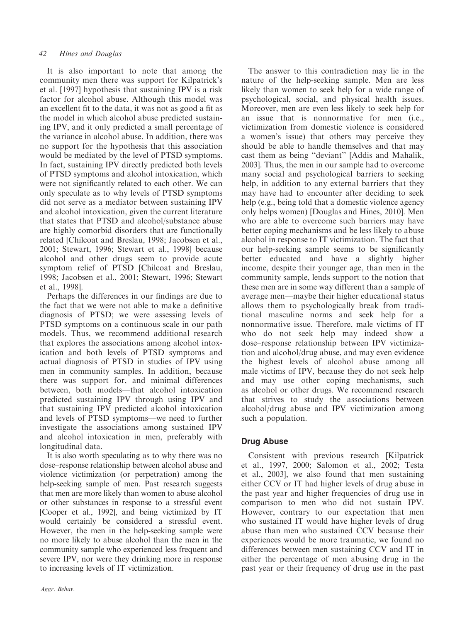It is also important to note that among the community men there was support for Kilpatrick's et al. [1997] hypothesis that sustaining IPV is a risk factor for alcohol abuse. Although this model was an excellent fit to the data, it was not as good a fit as the model in which alcohol abuse predicted sustaining IPV, and it only predicted a small percentage of the variance in alcohol abuse. In addition, there was no support for the hypothesis that this association would be mediated by the level of PTSD symptoms. In fact, sustaining IPV directly predicted both levels of PTSD symptoms and alcohol intoxication, which were not significantly related to each other. We can only speculate as to why levels of PTSD symptoms did not serve as a mediator between sustaining IPV and alcohol intoxication, given the current literature that states that PTSD and alcohol/substance abuse are highly comorbid disorders that are functionally related [Chilcoat and Breslau, 1998; Jacobsen et al., 2001; Stewart, 1996; Stewart et al., 1998] because alcohol and other drugs seem to provide acute symptom relief of PTSD [Chilcoat and Breslau, 1998; Jacobsen et al., 2001; Stewart, 1996; Stewart et al., 1998].

Perhaps the differences in our findings are due to the fact that we were not able to make a definitive diagnosis of PTSD; we were assessing levels of PTSD symptoms on a continuous scale in our path models. Thus, we recommend additional research that explores the associations among alcohol intoxication and both levels of PTSD symptoms and actual diagnosis of PTSD in studies of IPV using men in community samples. In addition, because there was support for, and minimal differences between, both models—that alcohol intoxication predicted sustaining IPV through using IPV and that sustaining IPV predicted alcohol intoxication and levels of PTSD symptoms—we need to further investigate the associations among sustained IPV and alcohol intoxication in men, preferably with longitudinal data.

It is also worth speculating as to why there was no dose–response relationship between alcohol abuse and violence victimization (or perpetration) among the help-seeking sample of men. Past research suggests that men are more likely than women to abuse alcohol or other substances in response to a stressful event [Cooper et al., 1992], and being victimized by IT would certainly be considered a stressful event. However, the men in the help-seeking sample were no more likely to abuse alcohol than the men in the community sample who experienced less frequent and severe IPV, nor were they drinking more in response to increasing levels of IT victimization.

The answer to this contradiction may lie in the nature of the help-seeking sample. Men are less likely than women to seek help for a wide range of psychological, social, and physical health issues. Moreover, men are even less likely to seek help for an issue that is nonnormative for men (i.e., victimization from domestic violence is considered a women's issue) that others may perceive they should be able to handle themselves and that may cast them as being ''deviant'' [Addis and Mahalik, 2003]. Thus, the men in our sample had to overcome many social and psychological barriers to seeking help, in addition to any external barriers that they may have had to encounter after deciding to seek help (e.g., being told that a domestic violence agency only helps women) [Douglas and Hines, 2010]. Men who are able to overcome such barriers may have better coping mechanisms and be less likely to abuse alcohol in response to IT victimization. The fact that our help-seeking sample seems to be significantly better educated and have a slightly higher income, despite their younger age, than men in the community sample, lends support to the notion that these men are in some way different than a sample of average men—maybe their higher educational status allows them to psychologically break from traditional masculine norms and seek help for a nonnormative issue. Therefore, male victims of IT who do not seek help may indeed show a dose–response relationship between IPV victimization and alcohol/drug abuse, and may even evidence the highest levels of alcohol abuse among all male victims of IPV, because they do not seek help and may use other coping mechanisms, such as alcohol or other drugs. We recommend research that strives to study the associations between alcohol/drug abuse and IPV victimization among such a population.

# Drug Abuse

Consistent with previous research [Kilpatrick et al., 1997, 2000; Salomon et al., 2002; Testa et al., 2003], we also found that men sustaining either CCV or IT had higher levels of drug abuse in the past year and higher frequencies of drug use in comparison to men who did not sustain IPV. However, contrary to our expectation that men who sustained IT would have higher levels of drug abuse than men who sustained CCV because their experiences would be more traumatic, we found no differences between men sustaining CCV and IT in either the percentage of men abusing drug in the past year or their frequency of drug use in the past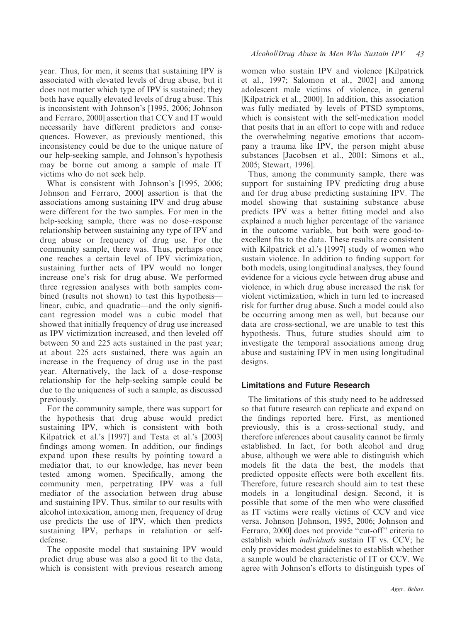year. Thus, for men, it seems that sustaining IPV is associated with elevated levels of drug abuse, but it does not matter which type of IPV is sustained; they both have equally elevated levels of drug abuse. This is inconsistent with Johnson's [1995, 2006; Johnson and Ferraro, 2000] assertion that CCV and IT would necessarily have different predictors and consequences. However, as previously mentioned, this inconsistency could be due to the unique nature of our help-seeking sample, and Johnson's hypothesis may be borne out among a sample of male IT victims who do not seek help.

What is consistent with Johnson's [1995, 2006; Johnson and Ferraro, 2000] assertion is that the associations among sustaining IPV and drug abuse were different for the two samples. For men in the help-seeking sample, there was no dose–response relationship between sustaining any type of IPV and drug abuse or frequency of drug use. For the community sample, there was. Thus, perhaps once one reaches a certain level of IPV victimization, sustaining further acts of IPV would no longer increase one's risk for drug abuse. We performed three regression analyses with both samples combined (results not shown) to test this hypothesis linear, cubic, and quadratic—and the only significant regression model was a cubic model that showed that initially frequency of drug use increased as IPV victimization increased, and then leveled off between 50 and 225 acts sustained in the past year; at about 225 acts sustained, there was again an increase in the frequency of drug use in the past year. Alternatively, the lack of a dose–response relationship for the help-seeking sample could be due to the uniqueness of such a sample, as discussed previously.

For the community sample, there was support for the hypothesis that drug abuse would predict sustaining IPV, which is consistent with both Kilpatrick et al.'s [1997] and Testa et al.'s [2003] findings among women. In addition, our findings expand upon these results by pointing toward a mediator that, to our knowledge, has never been tested among women. Specifically, among the community men, perpetrating IPV was a full mediator of the association between drug abuse and sustaining IPV. Thus, similar to our results with alcohol intoxication, among men, frequency of drug use predicts the use of IPV, which then predicts sustaining IPV, perhaps in retaliation or selfdefense.

The opposite model that sustaining IPV would predict drug abuse was also a good fit to the data, which is consistent with previous research among women who sustain IPV and violence [Kilpatrick et al., 1997; Salomon et al., 2002] and among adolescent male victims of violence, in general [Kilpatrick et al., 2000]. In addition, this association was fully mediated by levels of PTSD symptoms, which is consistent with the self-medication model that posits that in an effort to cope with and reduce the overwhelming negative emotions that accompany a trauma like IPV, the person might abuse substances [Jacobsen et al., 2001; Simons et al., 2005; Stewart, 1996].

Thus, among the community sample, there was support for sustaining IPV predicting drug abuse and for drug abuse predicting sustaining IPV. The model showing that sustaining substance abuse predicts IPV was a better fitting model and also explained a much higher percentage of the variance in the outcome variable, but both were good-toexcellent fits to the data. These results are consistent with Kilpatrick et al.'s [1997] study of women who sustain violence. In addition to finding support for both models, using longitudinal analyses, they found evidence for a vicious cycle between drug abuse and violence, in which drug abuse increased the risk for violent victimization, which in turn led to increased risk for further drug abuse. Such a model could also be occurring among men as well, but because our data are cross-sectional, we are unable to test this hypothesis. Thus, future studies should aim to investigate the temporal associations among drug abuse and sustaining IPV in men using longitudinal designs.

# Limitations and Future Research

The limitations of this study need to be addressed so that future research can replicate and expand on the findings reported here. First, as mentioned previously, this is a cross-sectional study, and therefore inferences about causality cannot be firmly established. In fact, for both alcohol and drug abuse, although we were able to distinguish which models fit the data the best, the models that predicted opposite effects were both excellent fits. Therefore, future research should aim to test these models in a longitudinal design. Second, it is possible that some of the men who were classified as IT victims were really victims of CCV and vice versa. Johnson [Johnson, 1995, 2006; Johnson and Ferraro, 2000] does not provide ''cut-off'' criteria to establish which individuals sustain IT vs. CCV; he only provides modest guidelines to establish whether a sample would be characteristic of IT or CCV. We agree with Johnson's efforts to distinguish types of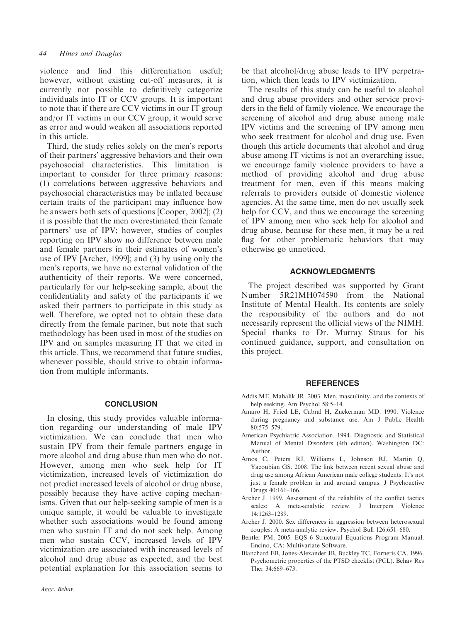violence and find this differentiation useful; however, without existing cut-off measures, it is currently not possible to definitively categorize individuals into IT or CCV groups. It is important to note that if there are CCV victims in our IT group and/or IT victims in our CCV group, it would serve as error and would weaken all associations reported in this article.

Third, the study relies solely on the men's reports of their partners' aggressive behaviors and their own psychosocial characteristics. This limitation is important to consider for three primary reasons: (1) correlations between aggressive behaviors and psychosocial characteristics may be inflated because certain traits of the participant may influence how he answers both sets of questions [Cooper, 2002]; (2) it is possible that the men overestimated their female partners' use of IPV; however, studies of couples reporting on IPV show no difference between male and female partners in their estimates of women's use of IPV [Archer, 1999]; and (3) by using only the men's reports, we have no external validation of the authenticity of their reports. We were concerned, particularly for our help-seeking sample, about the confidentiality and safety of the participants if we asked their partners to participate in this study as well. Therefore, we opted not to obtain these data directly from the female partner, but note that such methodology has been used in most of the studies on IPV and on samples measuring IT that we cited in this article. Thus, we recommend that future studies, whenever possible, should strive to obtain information from multiple informants.

#### **CONCLUSION**

In closing, this study provides valuable information regarding our understanding of male IPV victimization. We can conclude that men who sustain IPV from their female partners engage in more alcohol and drug abuse than men who do not. However, among men who seek help for IT victimization, increased levels of victimization do not predict increased levels of alcohol or drug abuse, possibly because they have active coping mechanisms. Given that our help-seeking sample of men is a unique sample, it would be valuable to investigate whether such associations would be found among men who sustain IT and do not seek help. Among men who sustain CCV, increased levels of IPV victimization are associated with increased levels of alcohol and drug abuse as expected, and the best potential explanation for this association seems to be that alcohol/drug abuse leads to IPV perpetration, which then leads to IPV victimization.

The results of this study can be useful to alcohol and drug abuse providers and other service providers in the field of family violence. We encourage the screening of alcohol and drug abuse among male IPV victims and the screening of IPV among men who seek treatment for alcohol and drug use. Even though this article documents that alcohol and drug abuse among IT victims is not an overarching issue, we encourage family violence providers to have a method of providing alcohol and drug abuse treatment for men, even if this means making referrals to providers outside of domestic violence agencies. At the same time, men do not usually seek help for CCV, and thus we encourage the screening of IPV among men who seek help for alcohol and drug abuse, because for these men, it may be a red flag for other problematic behaviors that may otherwise go unnoticed.

#### ACKNOWLEDGMENTS

The project described was supported by Grant Number 5R21MH074590 from the National Institute of Mental Health. Its contents are solely the responsibility of the authors and do not necessarily represent the official views of the NIMH. Special thanks to Dr. Murray Straus for his continued guidance, support, and consultation on this project.

#### **REFERENCES**

- Addis ME, Mahalik JR. 2003. Men, masculinity, and the contexts of help seeking. Am Psychol 58:5–14.
- Amaro H, Fried LE, Cabral H, Zuckerman MD. 1990. Violence during pregnancy and substance use. Am J Public Health 80:575–579.
- American Psychiatric Association. 1994. Diagnostic and Statistical Manual of Mental Disorders (4th edition). Washington DC: Author.
- Amos C, Peters RJ, Williams L, Johnson RJ, Martin Q, Yacoubian GS. 2008. The link between recent sexual abuse and drug use among African American male college students: It's not just a female problem in and around campus. J Psychoactive Drugs 40:161–166.
- Archer J. 1999. Assessment of the reliability of the conflict tactics scales: A meta-analytic review. J Interpers Violence 14:1263–1289.
- Archer J. 2000. Sex differences in aggression between heterosexual couples: A meta-analytic review. Psychol Bull 126:651–680.
- Bentler PM. 2005. EQS 6 Structural Equations Program Manual. Encino, CA: Multivariate Software.
- Blanchard EB, Jones-Alexander JB, Buckley TC, Forneris CA. 1996. Psychometric properties of the PTSD checklist (PCL). Behav Res Ther 34:669–673.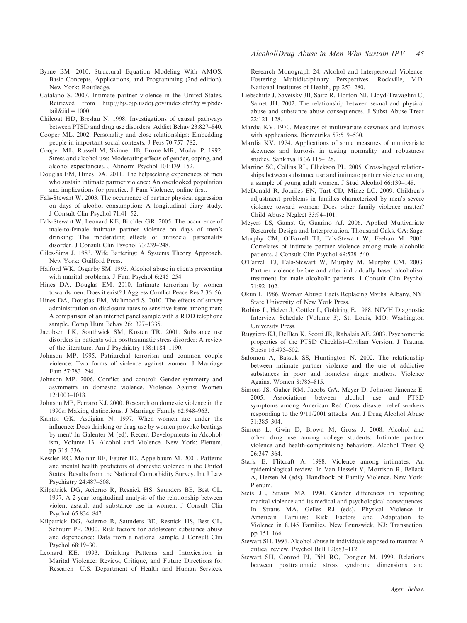- Byrne BM. 2010. Structural Equation Modeling With AMOS: Basic Concepts, Applications, and Programming (2nd edition). New York: Routledge.
- Catalano S. 2007. Intimate partner violence in the United States. Retrieved from http://bjs.ojp.usdoj.gov/index.cfm?ty = pbde $tail\&i = 1000$
- Chilcoat HD, Breslau N. 1998. Investigations of causal pathways between PTSD and drug use disorders. Addict Behav 23:827–840.
- Cooper ML. 2002. Personality and close relationships: Embedding people in important social contexts. J Pers 70:757–782.
- Cooper ML, Russell M, Skinner JB, Frone MR, Mudar P. 1992. Stress and alcohol use: Moderating effects of gender, coping, and alcohol expectancies. J Abnorm Psychol 101:139–152.
- Douglas EM, Hines DA. 2011. The helpseeking experiences of men who sustain intimate partner violence: An overlooked population and implications for practice. J Fam Violence, online first.
- Fals-Stewart W. 2003. The occurrence of partner physical aggression on days of alcohol consumption: A longitudinal diary study. J Consult Clin Psychol 71:41–52.
- Fals-Stewart W, Leonard KE, Birchler GR. 2005. The occurrence of male-to-female intimate partner violence on days of men's drinking: The moderating effects of antisocial personality disorder. J Consult Clin Psychol 73:239–248.
- Giles-Sims J. 1983. Wife Battering: A Systems Theory Approach. New York: Guilford Press.
- Halford WK, Osgarby SM. 1993. Alcohol abuse in clients presenting with marital problems. J Fam Psychol 6:245–254.
- Hines DA, Douglas EM. 2010. Intimate terrorism by women towards men: Does it exist? J Aggress Conflict Peace Res 2:36–56.
- Hines DA, Douglas EM, Mahmood S. 2010. The effects of survey administration on disclosure rates to sensitive items among men: A comparison of an internet panel sample with a RDD telephone sample. Comp Hum Behav 26:1327–1335.
- Jacobsen LK, Southwick SM, Kosten TR. 2001. Substance use disorders in patients with posttraumatic stress disorder: A review of the literature. Am J Psychiatry 158:1184–1190.
- Johnson MP. 1995. Patriarchal terrorism and common couple violence: Two forms of violence against women. J Marriage Fam 57:283–294.
- Johnson MP. 2006. Conflict and control: Gender symmetry and asymmetry in domestic violence. Violence Against Women 12:1003–1018.
- Johnson MP, Ferraro KJ. 2000. Research on domestic violence in the 1990s: Making distinctions. J Marriage Family 62:948–963.
- Kantor GK, Asdigian N. 1997. When women are under the influence: Does drinking or drug use by women provoke beatings by men? In Galenter M (ed). Recent Developments in Alcoholism, Volume 13: Alcohol and Violence. New York: Plenum, pp 315–336.
- Kessler RC, Molnar BE, Feurer ID, Appelbaum M. 2001. Patterns and mental health predictors of domestic violence in the United States: Results from the National Comorbidity Survey. Int J Law Psychiatry 24:487–508.
- Kilpatrick DG, Acierno R, Resnick HS, Saunders BE, Best CL. 1997. A 2-year longitudinal analysis of the relationship between violent assault and substance use in women. J Consult Clin Psychol 65:834–847.
- Kilpatrick DG, Acierno R, Saunders BE, Resnick HS, Best CL, Schnurr PP. 2000. Risk factors for adolescent substance abuse and dependence: Data from a national sample. J Consult Clin Psychol 68:19–30.
- Leonard KE. 1993. Drinking Patterns and Intoxication in Marital Violence: Review, Critique, and Future Directions for Research—U.S. Department of Health and Human Services.

Research Monograph 24: Alcohol and Interpersonal Violence: Fostering Multidisciplinary Perspectives. Rockville, MD: National Institutes of Health, pp 253–280.

- Liebschutz J, Savetsky JB, Saitz R, Horton NJ, Lloyd-Travaglini C, Samet JH. 2002. The relationship between sexual and physical abuse and substance abuse consequences. J Subst Abuse Treat 22:121–128.
- Mardia KV. 1970. Measures of multivariate skewness and kurtosis with applications. Biometrika 57:519–530.
- Mardia KV. 1974. Applications of some measures of multivariate skewness and kurtosis in testing normality and robustness studies. Sankhya B 36:115–128.
- Martino SC, Collins RL, Ellickson PL. 2005. Cross-lagged relationships between substance use and intimate partner violence among a sample of young adult women. J Stud Alcohol 66:139–148.
- McDonald R, Jouriles EN, Tart CD, Minze LC. 2009. Children's adjustment problems in families characterized by men's severe violence toward women: Does other family violence matter? Child Abuse Neglect 33:94–101.
- Meyers LS, Gamst G, Guarino AJ. 2006. Applied Multivariate Research: Design and Interpretation. Thousand Oaks, CA: Sage.
- Murphy CM, O'Farrell TJ, Fals-Stewart W, Feehan M. 2001. Correlates of intimate partner violence among male alcoholic patients. J Consult Clin Psychol 69:528–540.
- O'Farrell TJ, Fals-Stewart W, Murphy M, Murphy CM. 2003. Partner violence before and after individually based alcoholism treatment for male alcoholic patients. J Consult Clin Psychol 71:92–102.
- Okun L. 1986. Woman Abuse: Facts Replacing Myths. Albany, NY: State University of New York Press.
- Robins L, Helzer J, Cottler L, Goldring E. 1988. NIMH Diagnostic Interview Schedule (Volume 3). St. Louis, MO: Washington University Press.
- Ruggiero KJ, DelBen K, Scotti JR, Rabalais AE. 2003. Psychometric properties of the PTSD Checklist–Civilian Version. J Trauma Stress 16:495–502.
- Salomon A, Bassuk SS, Huntington N. 2002. The relationship between intimate partner violence and the use of addictive substances in poor and homeless single mothers. Violence Against Women 8:785–815.
- Simons JS, Gaher RM, Jacobs GA, Meyer D, Johnson-Jimenez E. 2005. Associations between alcohol use and PTSD symptoms among American Red Cross disaster relief workers responding to the 9/11/2001 attacks. Am J Drug Alcohol Abuse 31:385–304.
- Simons L, Gwin D, Brown M, Gross J. 2008. Alcohol and other drug use among college students: Intimate partner violence and health-comprimising behaviors. Alcohol Treat Q 26:347–364.
- Stark E, Flitcraft A. 1988. Violence among intimates: An epidemiological review. In Van Hesselt V, Morrison R, Bellack A, Hersen M (eds). Handbook of Family Violence. New York: Plenum.
- Stets JE, Straus MA. 1990. Gender differences in reporting marital violence and its medical and psychological consequences. In Straus MA, Gelles RJ (eds). Physical Violence in American Families: Risk Factors and Adaptation to Violence in 8,145 Families. New Brunswick, NJ: Transaction, pp 151–166.
- Stewart SH. 1996. Alcohol abuse in individuals exposed to trauma: A critical review. Psychol Bull 120:83–112.
- Stewart SH, Conrod PJ, Pihl RO, Dongier M. 1999. Relations between posttraumatic stress syndrome dimensions and